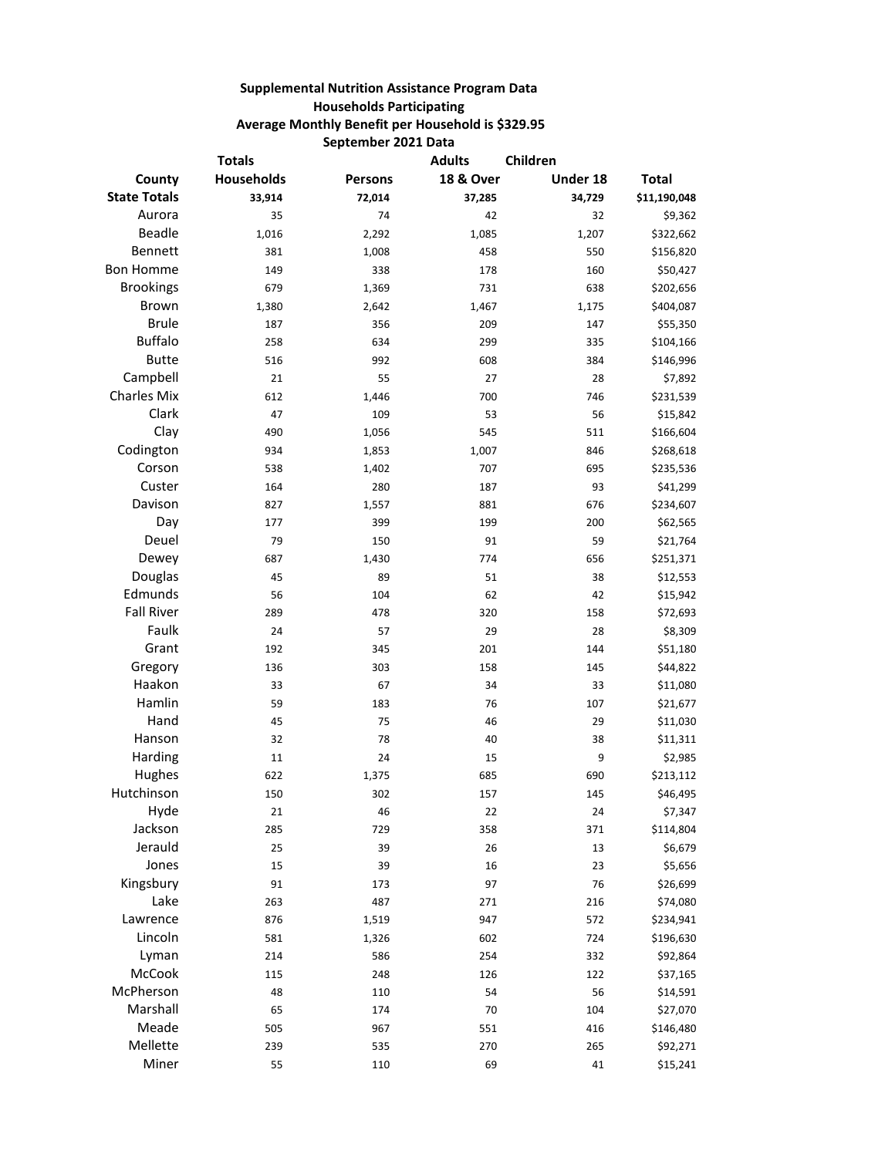## **Supplemental Nutrition Assistance Program Data Households Participating Average Monthly Benefit per Household is \$329.95 September 2021 Data**

| <b>Totals</b>       |                   |                | <b>Adults</b>        | Children |              |  |
|---------------------|-------------------|----------------|----------------------|----------|--------------|--|
| County              | <b>Households</b> | <b>Persons</b> | <b>18 &amp; Over</b> | Under 18 | <b>Total</b> |  |
| <b>State Totals</b> | 33,914            | 72,014         | 37,285               | 34,729   | \$11,190,048 |  |
| Aurora              | 35                | 74             | 42                   | 32       | \$9,362      |  |
| <b>Beadle</b>       | 1,016             | 2,292          | 1,085                | 1,207    | \$322,662    |  |
| Bennett             | 381               | 1,008          | 458                  | 550      | \$156,820    |  |
| <b>Bon Homme</b>    | 149               | 338            | 178                  | 160      | \$50,427     |  |
| <b>Brookings</b>    | 679               | 1,369          | 731                  | 638      | \$202,656    |  |
| <b>Brown</b>        | 1,380             | 2,642          | 1,467                | 1,175    | \$404,087    |  |
| <b>Brule</b>        | 187               | 356            | 209                  | 147      | \$55,350     |  |
| <b>Buffalo</b>      | 258               | 634            | 299                  | 335      | \$104,166    |  |
| <b>Butte</b>        | 516               | 992            | 608                  | 384      | \$146,996    |  |
| Campbell            | 21                | 55             | 27                   | 28       | \$7,892      |  |
| <b>Charles Mix</b>  | 612               | 1,446          | 700                  | 746      | \$231,539    |  |
| Clark               | 47                | 109            | 53                   | 56       | \$15,842     |  |
| Clay                | 490               | 1,056          | 545                  | 511      | \$166,604    |  |
| Codington           | 934               | 1,853          | 1,007                | 846      | \$268,618    |  |
| Corson              | 538               | 1,402          | 707                  | 695      | \$235,536    |  |
| Custer              | 164               | 280            | 187                  | 93       | \$41,299     |  |
| Davison             | 827               | 1,557          | 881                  | 676      | \$234,607    |  |
| Day                 | 177               | 399            | 199                  | 200      | \$62,565     |  |
| Deuel               | 79                | 150            | 91                   | 59       | \$21,764     |  |
| Dewey               | 687               | 1,430          | 774                  | 656      | \$251,371    |  |
| Douglas             | 45                | 89             | 51                   | 38       | \$12,553     |  |
| Edmunds             | 56                | 104            | 62                   | 42       | \$15,942     |  |
| <b>Fall River</b>   | 289               | 478            | 320                  | 158      | \$72,693     |  |
| Faulk               | 24                | 57             | 29                   | 28       | \$8,309      |  |
| Grant               | 192               | 345            | 201                  | 144      | \$51,180     |  |
| Gregory             | 136               | 303            | 158                  | 145      | \$44,822     |  |
| Haakon              | 33                | 67             | 34                   | 33       | \$11,080     |  |
| Hamlin              | 59                | 183            | 76                   | 107      | \$21,677     |  |
| Hand                | 45                | 75             | 46                   | 29       | \$11,030     |  |
| Hanson              | 32                | 78             | 40                   | 38       | \$11,311     |  |
| Harding             | 11                | 24             | 15                   | 9        | \$2,985      |  |
| Hughes              | 622               | 1,375          | 685                  | 690      | \$213,112    |  |
| Hutchinson          | 150               | 302            | 157                  | 145      | \$46,495     |  |
| Hyde                | 21                | 46             | 22                   | 24       | \$7,347      |  |
| Jackson             | 285               | 729            | 358                  | 371      | \$114,804    |  |
| Jerauld             | 25                | 39             | 26                   | 13       | \$6,679      |  |
| Jones               | 15                | 39             | 16                   | 23       | \$5,656      |  |
| Kingsbury           | 91                | 173            | 97                   | 76       | \$26,699     |  |
| Lake                | 263               | 487            | 271                  | 216      | \$74,080     |  |
| Lawrence            | 876               | 1,519          | 947                  | 572      | \$234,941    |  |
| Lincoln             | 581               | 1,326          | 602                  | 724      | \$196,630    |  |
| Lyman               | 214               | 586            | 254                  | 332      | \$92,864     |  |
| McCook              | 115               | 248            | 126                  | 122      | \$37,165     |  |
| McPherson           | 48                | 110            | 54                   | 56       | \$14,591     |  |
| Marshall            | 65                | 174            | $70\,$               | 104      | \$27,070     |  |
| Meade               | 505               | 967            | 551                  | 416      | \$146,480    |  |
| Mellette            | 239               | 535            | 270                  | 265      | \$92,271     |  |
| Miner               | 55                | 110            | 69                   | 41       | \$15,241     |  |